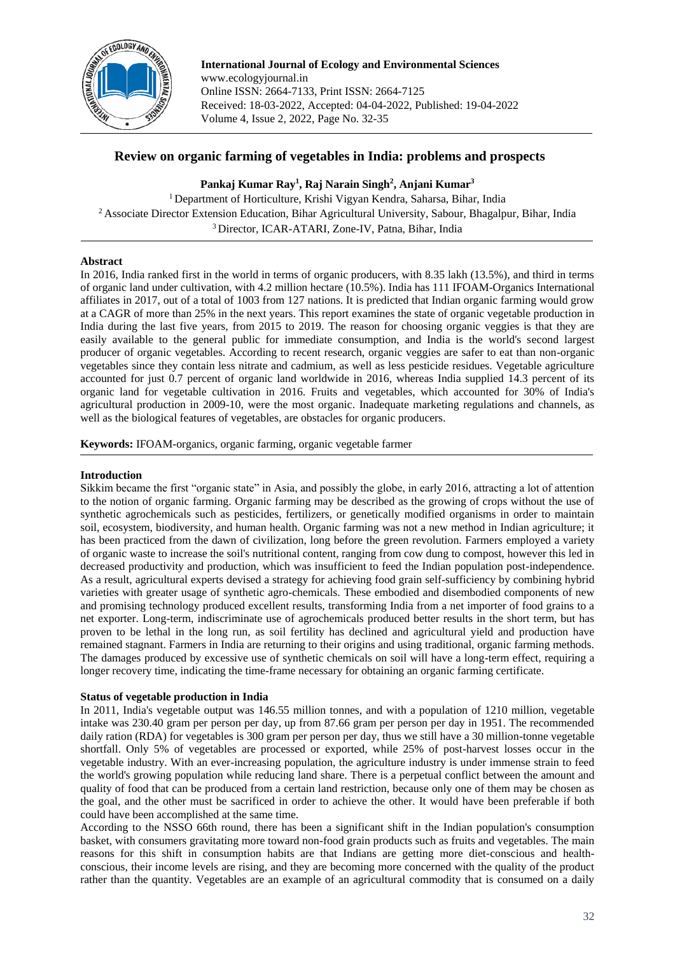

**International Journal of Ecology and Environmental Sciences** www.ecologyjournal.in Online ISSN: 2664-7133, Print ISSN: 2664-7125 Received: 18-03-2022, Accepted: 04-04-2022, Published: 19-04-2022 Volume 4, Issue 2, 2022, Page No. 32-35

# **Review on organic farming of vegetables in India: problems and prospects**

**Pankaj Kumar Ray<sup>1</sup> , Raj Narain Singh<sup>2</sup> , Anjani Kumar<sup>3</sup>**

<sup>1</sup> Department of Horticulture, Krishi Vigyan Kendra, Saharsa, Bihar, India <sup>2</sup> Associate Director Extension Education, Bihar Agricultural University, Sabour, Bhagalpur, Bihar, India <sup>3</sup> Director, ICAR-ATARI, Zone-IV, Patna, Bihar, India

## **Abstract**

In 2016, India ranked first in the world in terms of organic producers, with 8.35 lakh (13.5%), and third in terms of organic land under cultivation, with 4.2 million hectare (10.5%). India has 111 IFOAM-Organics International affiliates in 2017, out of a total of 1003 from 127 nations. It is predicted that Indian organic farming would grow at a CAGR of more than 25% in the next years. This report examines the state of organic vegetable production in India during the last five years, from 2015 to 2019. The reason for choosing organic veggies is that they are easily available to the general public for immediate consumption, and India is the world's second largest producer of organic vegetables. According to recent research, organic veggies are safer to eat than non-organic vegetables since they contain less nitrate and cadmium, as well as less pesticide residues. Vegetable agriculture accounted for just 0.7 percent of organic land worldwide in 2016, whereas India supplied 14.3 percent of its organic land for vegetable cultivation in 2016. Fruits and vegetables, which accounted for 30% of India's agricultural production in 2009-10, were the most organic. Inadequate marketing regulations and channels, as well as the biological features of vegetables, are obstacles for organic producers.

**Keywords:** IFOAM-organics, organic farming, organic vegetable farmer

#### **Introduction**

Sikkim became the first "organic state" in Asia, and possibly the globe, in early 2016, attracting a lot of attention to the notion of organic farming. Organic farming may be described as the growing of crops without the use of synthetic agrochemicals such as pesticides, fertilizers, or genetically modified organisms in order to maintain soil, ecosystem, biodiversity, and human health. Organic farming was not a new method in Indian agriculture; it has been practiced from the dawn of civilization, long before the green revolution. Farmers employed a variety of organic waste to increase the soil's nutritional content, ranging from cow dung to compost, however this led in decreased productivity and production, which was insufficient to feed the Indian population post-independence. As a result, agricultural experts devised a strategy for achieving food grain self-sufficiency by combining hybrid varieties with greater usage of synthetic agro-chemicals. These embodied and disembodied components of new and promising technology produced excellent results, transforming India from a net importer of food grains to a net exporter. Long-term, indiscriminate use of agrochemicals produced better results in the short term, but has proven to be lethal in the long run, as soil fertility has declined and agricultural yield and production have remained stagnant. Farmers in India are returning to their origins and using traditional, organic farming methods. The damages produced by excessive use of synthetic chemicals on soil will have a long-term effect, requiring a longer recovery time, indicating the time-frame necessary for obtaining an organic farming certificate.

### **Status of vegetable production in India**

In 2011, India's vegetable output was 146.55 million tonnes, and with a population of 1210 million, vegetable intake was 230.40 gram per person per day, up from 87.66 gram per person per day in 1951. The recommended daily ration (RDA) for vegetables is 300 gram per person per day, thus we still have a 30 million-tonne vegetable shortfall. Only 5% of vegetables are processed or exported, while 25% of post-harvest losses occur in the vegetable industry. With an ever-increasing population, the agriculture industry is under immense strain to feed the world's growing population while reducing land share. There is a perpetual conflict between the amount and quality of food that can be produced from a certain land restriction, because only one of them may be chosen as the goal, and the other must be sacrificed in order to achieve the other. It would have been preferable if both could have been accomplished at the same time.

According to the NSSO 66th round, there has been a significant shift in the Indian population's consumption basket, with consumers gravitating more toward non-food grain products such as fruits and vegetables. The main reasons for this shift in consumption habits are that Indians are getting more diet-conscious and healthconscious, their income levels are rising, and they are becoming more concerned with the quality of the product rather than the quantity. Vegetables are an example of an agricultural commodity that is consumed on a daily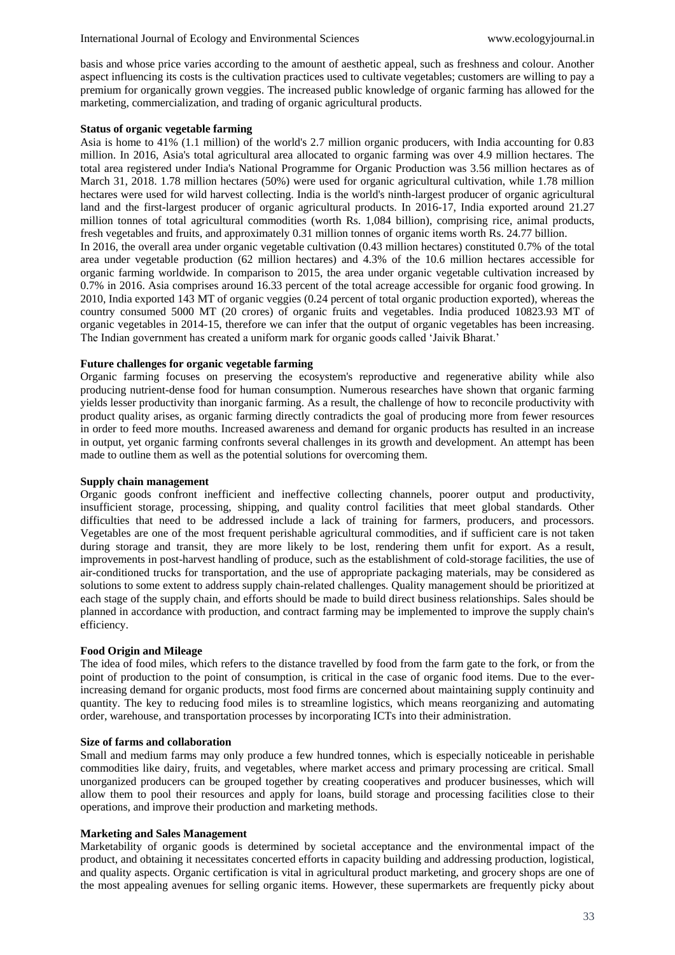basis and whose price varies according to the amount of aesthetic appeal, such as freshness and colour. Another aspect influencing its costs is the cultivation practices used to cultivate vegetables; customers are willing to pay a premium for organically grown veggies. The increased public knowledge of organic farming has allowed for the marketing, commercialization, and trading of organic agricultural products.

### **Status of organic vegetable farming**

Asia is home to 41% (1.1 million) of the world's 2.7 million organic producers, with India accounting for 0.83 million. In 2016, Asia's total agricultural area allocated to organic farming was over 4.9 million hectares. The total area registered under India's National Programme for Organic Production was 3.56 million hectares as of March 31, 2018. 1.78 million hectares (50%) were used for organic agricultural cultivation, while 1.78 million hectares were used for wild harvest collecting. India is the world's ninth-largest producer of organic agricultural land and the first-largest producer of organic agricultural products. In 2016-17, India exported around 21.27 million tonnes of total agricultural commodities (worth Rs. 1,084 billion), comprising rice, animal products, fresh vegetables and fruits, and approximately 0.31 million tonnes of organic items worth Rs. 24.77 billion. In 2016, the overall area under organic vegetable cultivation (0.43 million hectares) constituted 0.7% of the total area under vegetable production (62 million hectares) and 4.3% of the 10.6 million hectares accessible for organic farming worldwide. In comparison to 2015, the area under organic vegetable cultivation increased by 0.7% in 2016. Asia comprises around 16.33 percent of the total acreage accessible for organic food growing. In 2010, India exported 143 MT of organic veggies (0.24 percent of total organic production exported), whereas the country consumed 5000 MT (20 crores) of organic fruits and vegetables. India produced 10823.93 MT of organic vegetables in 2014-15, therefore we can infer that the output of organic vegetables has been increasing. The Indian government has created a uniform mark for organic goods called 'Jaivik Bharat.'

### **Future challenges for organic vegetable farming**

Organic farming focuses on preserving the ecosystem's reproductive and regenerative ability while also producing nutrient-dense food for human consumption. Numerous researches have shown that organic farming yields lesser productivity than inorganic farming. As a result, the challenge of how to reconcile productivity with product quality arises, as organic farming directly contradicts the goal of producing more from fewer resources in order to feed more mouths. Increased awareness and demand for organic products has resulted in an increase in output, yet organic farming confronts several challenges in its growth and development. An attempt has been made to outline them as well as the potential solutions for overcoming them.

#### **Supply chain management**

Organic goods confront inefficient and ineffective collecting channels, poorer output and productivity, insufficient storage, processing, shipping, and quality control facilities that meet global standards. Other difficulties that need to be addressed include a lack of training for farmers, producers, and processors. Vegetables are one of the most frequent perishable agricultural commodities, and if sufficient care is not taken during storage and transit, they are more likely to be lost, rendering them unfit for export. As a result, improvements in post-harvest handling of produce, such as the establishment of cold-storage facilities, the use of air-conditioned trucks for transportation, and the use of appropriate packaging materials, may be considered as solutions to some extent to address supply chain-related challenges. Quality management should be prioritized at each stage of the supply chain, and efforts should be made to build direct business relationships. Sales should be planned in accordance with production, and contract farming may be implemented to improve the supply chain's efficiency.

#### **Food Origin and Mileage**

The idea of food miles, which refers to the distance travelled by food from the farm gate to the fork, or from the point of production to the point of consumption, is critical in the case of organic food items. Due to the everincreasing demand for organic products, most food firms are concerned about maintaining supply continuity and quantity. The key to reducing food miles is to streamline logistics, which means reorganizing and automating order, warehouse, and transportation processes by incorporating ICTs into their administration.

### **Size of farms and collaboration**

Small and medium farms may only produce a few hundred tonnes, which is especially noticeable in perishable commodities like dairy, fruits, and vegetables, where market access and primary processing are critical. Small unorganized producers can be grouped together by creating cooperatives and producer businesses, which will allow them to pool their resources and apply for loans, build storage and processing facilities close to their operations, and improve their production and marketing methods.

#### **Marketing and Sales Management**

Marketability of organic goods is determined by societal acceptance and the environmental impact of the product, and obtaining it necessitates concerted efforts in capacity building and addressing production, logistical, and quality aspects. Organic certification is vital in agricultural product marketing, and grocery shops are one of the most appealing avenues for selling organic items. However, these supermarkets are frequently picky about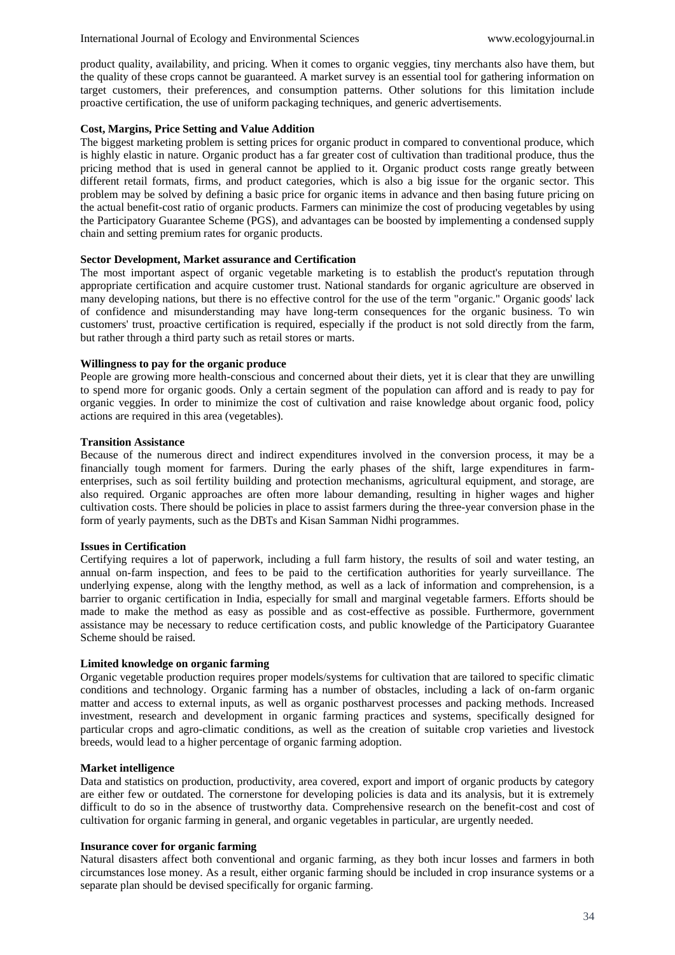product quality, availability, and pricing. When it comes to organic veggies, tiny merchants also have them, but the quality of these crops cannot be guaranteed. A market survey is an essential tool for gathering information on target customers, their preferences, and consumption patterns. Other solutions for this limitation include proactive certification, the use of uniform packaging techniques, and generic advertisements.

### **Cost, Margins, Price Setting and Value Addition**

The biggest marketing problem is setting prices for organic product in compared to conventional produce, which is highly elastic in nature. Organic product has a far greater cost of cultivation than traditional produce, thus the pricing method that is used in general cannot be applied to it. Organic product costs range greatly between different retail formats, firms, and product categories, which is also a big issue for the organic sector. This problem may be solved by defining a basic price for organic items in advance and then basing future pricing on the actual benefit-cost ratio of organic products. Farmers can minimize the cost of producing vegetables by using the Participatory Guarantee Scheme (PGS), and advantages can be boosted by implementing a condensed supply chain and setting premium rates for organic products.

### **Sector Development, Market assurance and Certification**

The most important aspect of organic vegetable marketing is to establish the product's reputation through appropriate certification and acquire customer trust. National standards for organic agriculture are observed in many developing nations, but there is no effective control for the use of the term "organic." Organic goods' lack of confidence and misunderstanding may have long-term consequences for the organic business. To win customers' trust, proactive certification is required, especially if the product is not sold directly from the farm, but rather through a third party such as retail stores or marts.

#### **Willingness to pay for the organic produce**

People are growing more health-conscious and concerned about their diets, yet it is clear that they are unwilling to spend more for organic goods. Only a certain segment of the population can afford and is ready to pay for organic veggies. In order to minimize the cost of cultivation and raise knowledge about organic food, policy actions are required in this area (vegetables).

#### **Transition Assistance**

Because of the numerous direct and indirect expenditures involved in the conversion process, it may be a financially tough moment for farmers. During the early phases of the shift, large expenditures in farmenterprises, such as soil fertility building and protection mechanisms, agricultural equipment, and storage, are also required. Organic approaches are often more labour demanding, resulting in higher wages and higher cultivation costs. There should be policies in place to assist farmers during the three-year conversion phase in the form of yearly payments, such as the DBTs and Kisan Samman Nidhi programmes.

#### **Issues in Certification**

Certifying requires a lot of paperwork, including a full farm history, the results of soil and water testing, an annual on-farm inspection, and fees to be paid to the certification authorities for yearly surveillance. The underlying expense, along with the lengthy method, as well as a lack of information and comprehension, is a barrier to organic certification in India, especially for small and marginal vegetable farmers. Efforts should be made to make the method as easy as possible and as cost-effective as possible. Furthermore, government assistance may be necessary to reduce certification costs, and public knowledge of the Participatory Guarantee Scheme should be raised.

### **Limited knowledge on organic farming**

Organic vegetable production requires proper models/systems for cultivation that are tailored to specific climatic conditions and technology. Organic farming has a number of obstacles, including a lack of on-farm organic matter and access to external inputs, as well as organic postharvest processes and packing methods. Increased investment, research and development in organic farming practices and systems, specifically designed for particular crops and agro-climatic conditions, as well as the creation of suitable crop varieties and livestock breeds, would lead to a higher percentage of organic farming adoption.

### **Market intelligence**

Data and statistics on production, productivity, area covered, export and import of organic products by category are either few or outdated. The cornerstone for developing policies is data and its analysis, but it is extremely difficult to do so in the absence of trustworthy data. Comprehensive research on the benefit-cost and cost of cultivation for organic farming in general, and organic vegetables in particular, are urgently needed.

#### **Insurance cover for organic farming**

Natural disasters affect both conventional and organic farming, as they both incur losses and farmers in both circumstances lose money. As a result, either organic farming should be included in crop insurance systems or a separate plan should be devised specifically for organic farming.